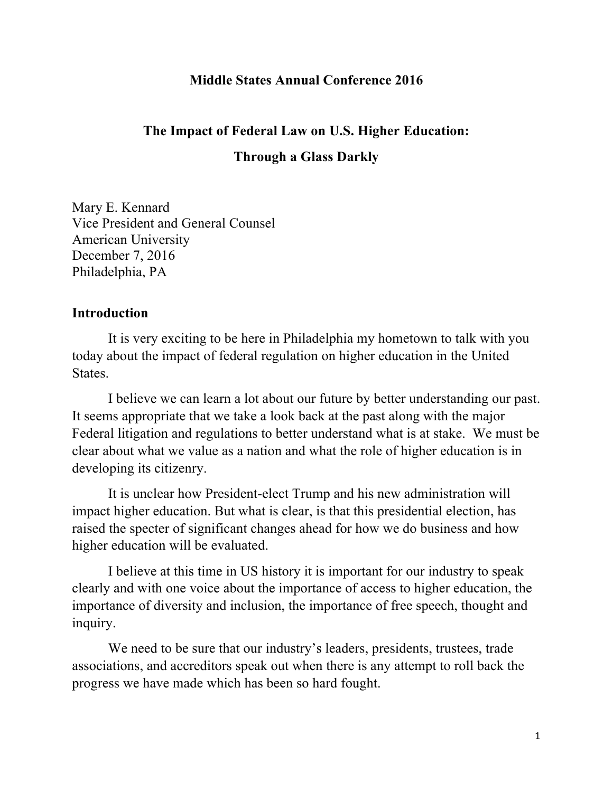### **Middle States Annual Conference 2016**

# **The Impact of Federal Law on U.S. Higher Education: Through a Glass Darkly**

Mary E. Kennard Vice President and General Counsel American University December 7, 2016 Philadelphia, PA

#### **Introduction**

It is very exciting to be here in Philadelphia my hometown to talk with you today about the impact of federal regulation on higher education in the United States.

I believe we can learn a lot about our future by better understanding our past. It seems appropriate that we take a look back at the past along with the major Federal litigation and regulations to better understand what is at stake. We must be clear about what we value as a nation and what the role of higher education is in developing its citizenry.

It is unclear how President-elect Trump and his new administration will impact higher education. But what is clear, is that this presidential election, has raised the specter of significant changes ahead for how we do business and how higher education will be evaluated.

I believe at this time in US history it is important for our industry to speak clearly and with one voice about the importance of access to higher education, the importance of diversity and inclusion, the importance of free speech, thought and inquiry.

We need to be sure that our industry's leaders, presidents, trustees, trade associations, and accreditors speak out when there is any attempt to roll back the progress we have made which has been so hard fought.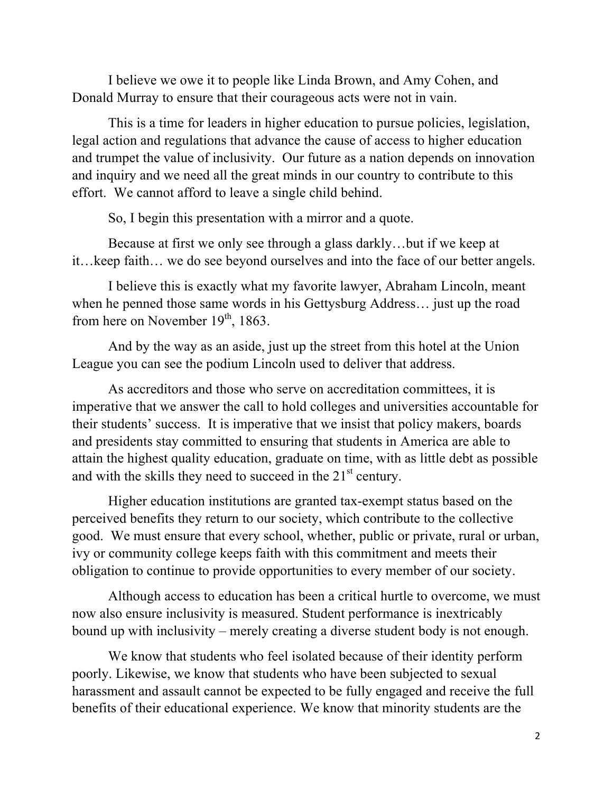I believe we owe it to people like Linda Brown, and Amy Cohen, and Donald Murray to ensure that their courageous acts were not in vain.

This is a time for leaders in higher education to pursue policies, legislation, legal action and regulations that advance the cause of access to higher education and trumpet the value of inclusivity. Our future as a nation depends on innovation and inquiry and we need all the great minds in our country to contribute to this effort. We cannot afford to leave a single child behind.

So, I begin this presentation with a mirror and a quote.

Because at first we only see through a glass darkly…but if we keep at it…keep faith… we do see beyond ourselves and into the face of our better angels.

I believe this is exactly what my favorite lawyer, Abraham Lincoln, meant when he penned those same words in his Gettysburg Address… just up the road from here on November  $19<sup>th</sup>$ , 1863.

And by the way as an aside, just up the street from this hotel at the Union League you can see the podium Lincoln used to deliver that address.

As accreditors and those who serve on accreditation committees, it is imperative that we answer the call to hold colleges and universities accountable for their students' success. It is imperative that we insist that policy makers, boards and presidents stay committed to ensuring that students in America are able to attain the highest quality education, graduate on time, with as little debt as possible and with the skills they need to succeed in the  $21<sup>st</sup>$  century.

Higher education institutions are granted tax-exempt status based on the perceived benefits they return to our society, which contribute to the collective good. We must ensure that every school, whether, public or private, rural or urban, ivy or community college keeps faith with this commitment and meets their obligation to continue to provide opportunities to every member of our society.

Although access to education has been a critical hurtle to overcome, we must now also ensure inclusivity is measured. Student performance is inextricably bound up with inclusivity – merely creating a diverse student body is not enough.

We know that students who feel isolated because of their identity perform poorly. Likewise, we know that students who have been subjected to sexual harassment and assault cannot be expected to be fully engaged and receive the full benefits of their educational experience. We know that minority students are the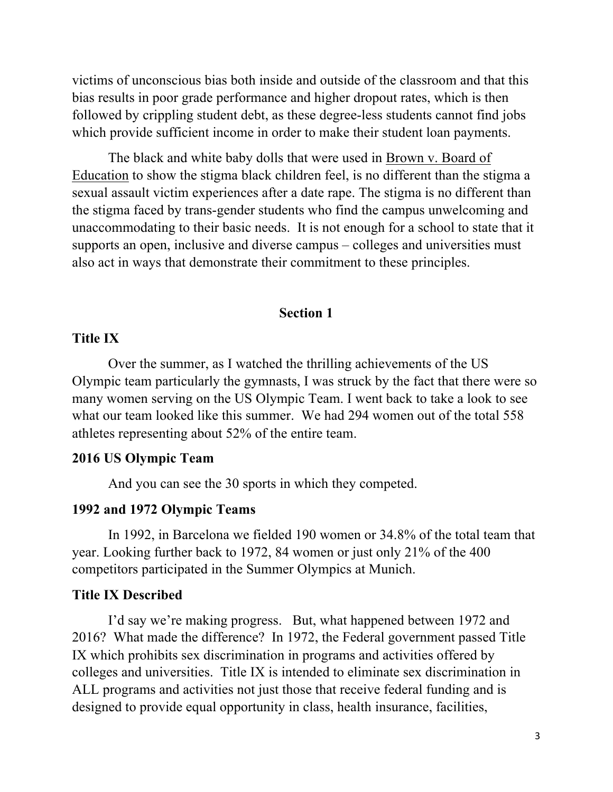victims of unconscious bias both inside and outside of the classroom and that this bias results in poor grade performance and higher dropout rates, which is then followed by crippling student debt, as these degree-less students cannot find jobs which provide sufficient income in order to make their student loan payments.

The black and white baby dolls that were used in Brown v. Board of Education to show the stigma black children feel, is no different than the stigma a sexual assault victim experiences after a date rape. The stigma is no different than the stigma faced by trans-gender students who find the campus unwelcoming and unaccommodating to their basic needs. It is not enough for a school to state that it supports an open, inclusive and diverse campus – colleges and universities must also act in ways that demonstrate their commitment to these principles.

#### **Section 1**

#### **Title IX**

Over the summer, as I watched the thrilling achievements of the US Olympic team particularly the gymnasts, I was struck by the fact that there were so many women serving on the US Olympic Team. I went back to take a look to see what our team looked like this summer. We had 294 women out of the total 558 athletes representing about 52% of the entire team.

# **2016 US Olympic Team**

And you can see the 30 sports in which they competed.

### **1992 and 1972 Olympic Teams**

In 1992, in Barcelona we fielded 190 women or 34.8% of the total team that year. Looking further back to 1972, 84 women or just only 21% of the 400 competitors participated in the Summer Olympics at Munich.

#### **Title IX Described**

I'd say we're making progress. But, what happened between 1972 and 2016? What made the difference? In 1972, the Federal government passed Title IX which prohibits sex discrimination in programs and activities offered by colleges and universities. Title IX is intended to eliminate sex discrimination in ALL programs and activities not just those that receive federal funding and is designed to provide equal opportunity in class, health insurance, facilities,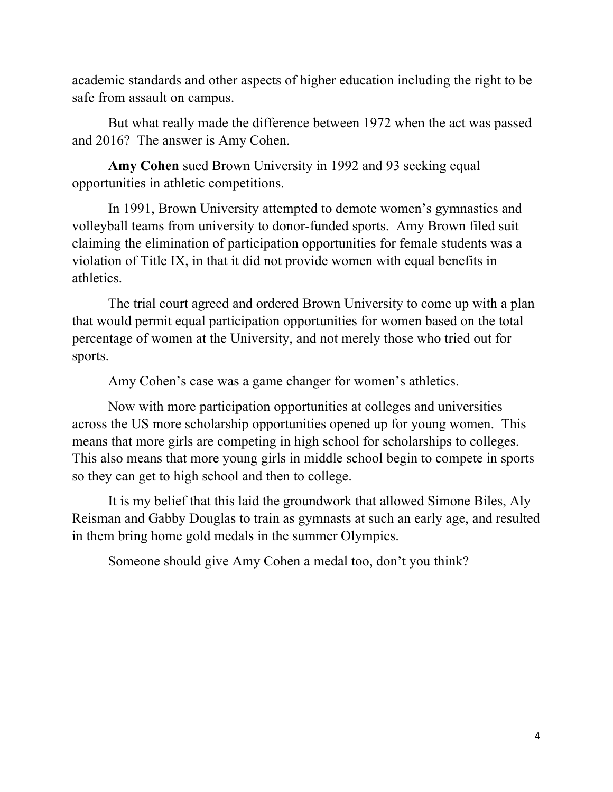academic standards and other aspects of higher education including the right to be safe from assault on campus.

But what really made the difference between 1972 when the act was passed and 2016? The answer is Amy Cohen.

**Amy Cohen** sued Brown University in 1992 and 93 seeking equal opportunities in athletic competitions.

In 1991, Brown University attempted to demote women's gymnastics and volleyball teams from university to donor-funded sports. Amy Brown filed suit claiming the elimination of participation opportunities for female students was a violation of Title IX, in that it did not provide women with equal benefits in athletics.

The trial court agreed and ordered Brown University to come up with a plan that would permit equal participation opportunities for women based on the total percentage of women at the University, and not merely those who tried out for sports.

Amy Cohen's case was a game changer for women's athletics.

Now with more participation opportunities at colleges and universities across the US more scholarship opportunities opened up for young women. This means that more girls are competing in high school for scholarships to colleges. This also means that more young girls in middle school begin to compete in sports so they can get to high school and then to college.

It is my belief that this laid the groundwork that allowed Simone Biles, Aly Reisman and Gabby Douglas to train as gymnasts at such an early age, and resulted in them bring home gold medals in the summer Olympics.

Someone should give Amy Cohen a medal too, don't you think?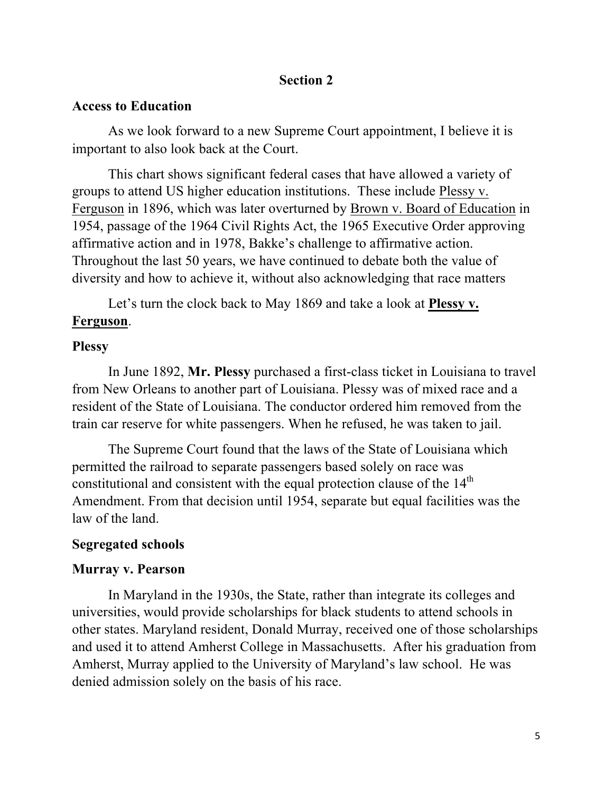# **Section 2**

#### **Access to Education**

As we look forward to a new Supreme Court appointment, I believe it is important to also look back at the Court.

This chart shows significant federal cases that have allowed a variety of groups to attend US higher education institutions. These include Plessy v. Ferguson in 1896, which was later overturned by Brown v. Board of Education in 1954, passage of the 1964 Civil Rights Act, the 1965 Executive Order approving affirmative action and in 1978, Bakke's challenge to affirmative action. Throughout the last 50 years, we have continued to debate both the value of diversity and how to achieve it, without also acknowledging that race matters

Let's turn the clock back to May 1869 and take a look at **Plessy v. Ferguson**.

#### **Plessy**

In June 1892, **Mr. Plessy** purchased a first-class ticket in Louisiana to travel from New Orleans to another part of Louisiana. Plessy was of mixed race and a resident of the State of Louisiana. The conductor ordered him removed from the train car reserve for white passengers. When he refused, he was taken to jail.

The Supreme Court found that the laws of the State of Louisiana which permitted the railroad to separate passengers based solely on race was constitutional and consistent with the equal protection clause of the  $14<sup>th</sup>$ Amendment. From that decision until 1954, separate but equal facilities was the law of the land.

### **Segregated schools**

#### **Murray v. Pearson**

In Maryland in the 1930s, the State, rather than integrate its colleges and universities, would provide scholarships for black students to attend schools in other states. Maryland resident, Donald Murray, received one of those scholarships and used it to attend Amherst College in Massachusetts. After his graduation from Amherst, Murray applied to the University of Maryland's law school. He was denied admission solely on the basis of his race.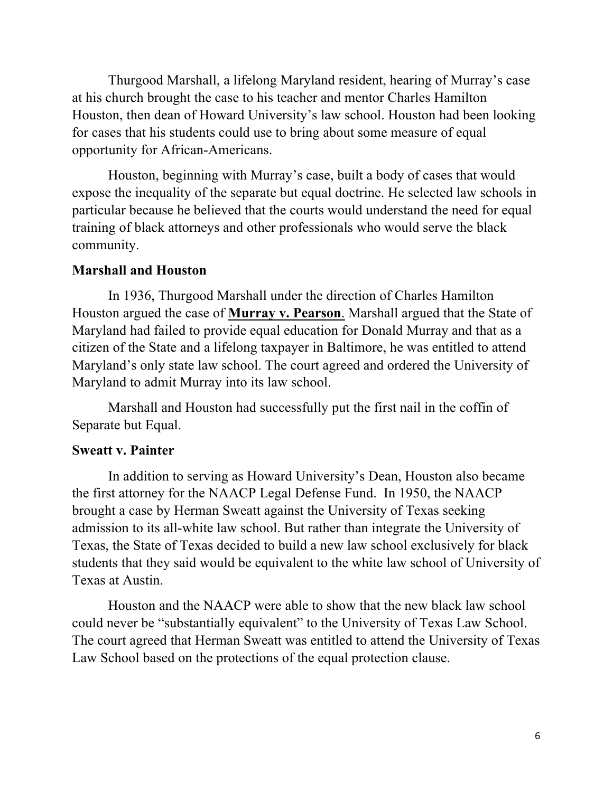Thurgood Marshall, a lifelong Maryland resident, hearing of Murray's case at his church brought the case to his teacher and mentor Charles Hamilton Houston, then dean of Howard University's law school. Houston had been looking for cases that his students could use to bring about some measure of equal opportunity for African-Americans.

Houston, beginning with Murray's case, built a body of cases that would expose the inequality of the separate but equal doctrine. He selected law schools in particular because he believed that the courts would understand the need for equal training of black attorneys and other professionals who would serve the black community.

# **Marshall and Houston**

In 1936, Thurgood Marshall under the direction of Charles Hamilton Houston argued the case of **Murray v. Pearson**. Marshall argued that the State of Maryland had failed to provide equal education for Donald Murray and that as a citizen of the State and a lifelong taxpayer in Baltimore, he was entitled to attend Maryland's only state law school. The court agreed and ordered the University of Maryland to admit Murray into its law school.

Marshall and Houston had successfully put the first nail in the coffin of Separate but Equal.

# **Sweatt v. Painter**

In addition to serving as Howard University's Dean, Houston also became the first attorney for the NAACP Legal Defense Fund. In 1950, the NAACP brought a case by Herman Sweatt against the University of Texas seeking admission to its all-white law school. But rather than integrate the University of Texas, the State of Texas decided to build a new law school exclusively for black students that they said would be equivalent to the white law school of University of Texas at Austin.

Houston and the NAACP were able to show that the new black law school could never be "substantially equivalent" to the University of Texas Law School. The court agreed that Herman Sweatt was entitled to attend the University of Texas Law School based on the protections of the equal protection clause.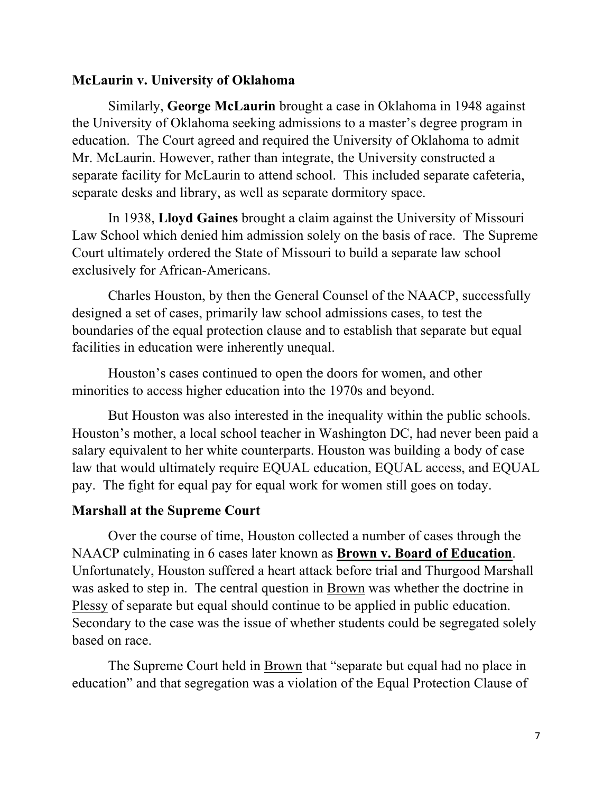# **McLaurin v. University of Oklahoma**

Similarly, **George McLaurin** brought a case in Oklahoma in 1948 against the University of Oklahoma seeking admissions to a master's degree program in education. The Court agreed and required the University of Oklahoma to admit Mr. McLaurin. However, rather than integrate, the University constructed a separate facility for McLaurin to attend school. This included separate cafeteria, separate desks and library, as well as separate dormitory space.

In 1938, **Lloyd Gaines** brought a claim against the University of Missouri Law School which denied him admission solely on the basis of race. The Supreme Court ultimately ordered the State of Missouri to build a separate law school exclusively for African-Americans.

Charles Houston, by then the General Counsel of the NAACP, successfully designed a set of cases, primarily law school admissions cases, to test the boundaries of the equal protection clause and to establish that separate but equal facilities in education were inherently unequal.

Houston's cases continued to open the doors for women, and other minorities to access higher education into the 1970s and beyond.

But Houston was also interested in the inequality within the public schools. Houston's mother, a local school teacher in Washington DC, had never been paid a salary equivalent to her white counterparts. Houston was building a body of case law that would ultimately require EQUAL education, EQUAL access, and EQUAL pay. The fight for equal pay for equal work for women still goes on today.

### **Marshall at the Supreme Court**

Over the course of time, Houston collected a number of cases through the NAACP culminating in 6 cases later known as **Brown v. Board of Education**. Unfortunately, Houston suffered a heart attack before trial and Thurgood Marshall was asked to step in. The central question in Brown was whether the doctrine in Plessy of separate but equal should continue to be applied in public education. Secondary to the case was the issue of whether students could be segregated solely based on race.

The Supreme Court held in Brown that "separate but equal had no place in education" and that segregation was a violation of the Equal Protection Clause of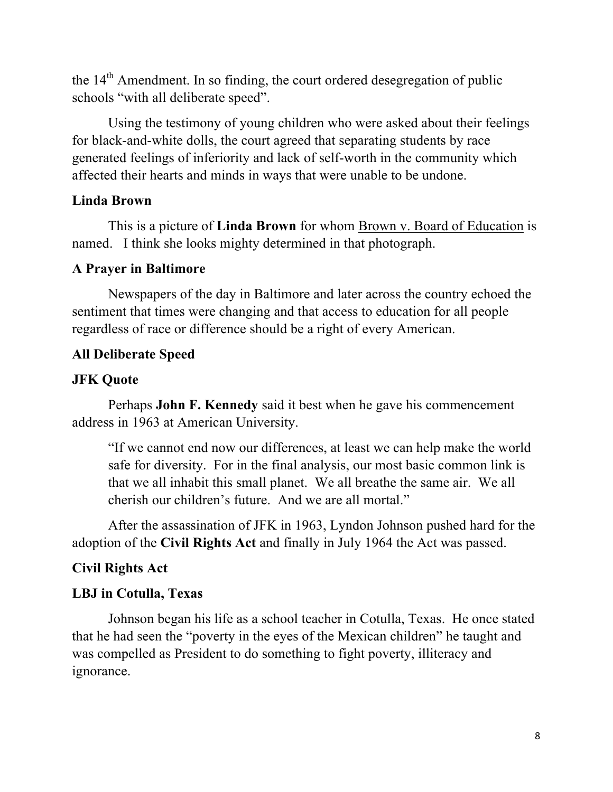the  $14<sup>th</sup>$  Amendment. In so finding, the court ordered desegregation of public schools "with all deliberate speed".

Using the testimony of young children who were asked about their feelings for black-and-white dolls, the court agreed that separating students by race generated feelings of inferiority and lack of self-worth in the community which affected their hearts and minds in ways that were unable to be undone.

# **Linda Brown**

This is a picture of **Linda Brown** for whom Brown v. Board of Education is named. I think she looks mighty determined in that photograph.

# **A Prayer in Baltimore**

Newspapers of the day in Baltimore and later across the country echoed the sentiment that times were changing and that access to education for all people regardless of race or difference should be a right of every American.

# **All Deliberate Speed**

# **JFK Quote**

Perhaps **John F. Kennedy** said it best when he gave his commencement address in 1963 at American University.

"If we cannot end now our differences, at least we can help make the world safe for diversity. For in the final analysis, our most basic common link is that we all inhabit this small planet. We all breathe the same air. We all cherish our children's future. And we are all mortal."

After the assassination of JFK in 1963, Lyndon Johnson pushed hard for the adoption of the **Civil Rights Act** and finally in July 1964 the Act was passed.

# **Civil Rights Act**

# **LBJ in Cotulla, Texas**

Johnson began his life as a school teacher in Cotulla, Texas. He once stated that he had seen the "poverty in the eyes of the Mexican children" he taught and was compelled as President to do something to fight poverty, illiteracy and ignorance.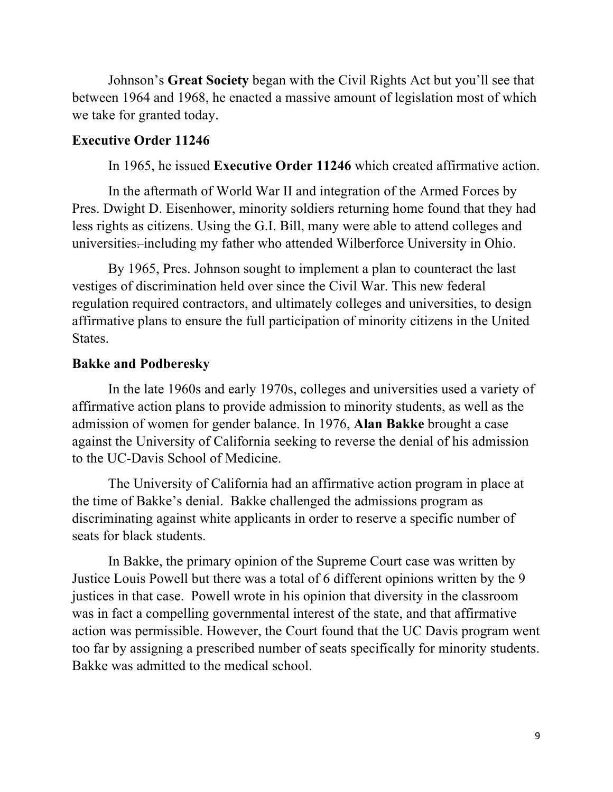Johnson's **Great Society** began with the Civil Rights Act but you'll see that between 1964 and 1968, he enacted a massive amount of legislation most of which we take for granted today.

#### **Executive Order 11246**

In 1965, he issued **Executive Order 11246** which created affirmative action.

In the aftermath of World War II and integration of the Armed Forces by Pres. Dwight D. Eisenhower, minority soldiers returning home found that they had less rights as citizens. Using the G.I. Bill, many were able to attend colleges and universities. including my father who attended Wilberforce University in Ohio.

By 1965, Pres. Johnson sought to implement a plan to counteract the last vestiges of discrimination held over since the Civil War. This new federal regulation required contractors, and ultimately colleges and universities, to design affirmative plans to ensure the full participation of minority citizens in the United States.

# **Bakke and Podberesky**

In the late 1960s and early 1970s, colleges and universities used a variety of affirmative action plans to provide admission to minority students, as well as the admission of women for gender balance. In 1976, **Alan Bakke** brought a case against the University of California seeking to reverse the denial of his admission to the UC-Davis School of Medicine.

The University of California had an affirmative action program in place at the time of Bakke's denial. Bakke challenged the admissions program as discriminating against white applicants in order to reserve a specific number of seats for black students.

In Bakke, the primary opinion of the Supreme Court case was written by Justice Louis Powell but there was a total of 6 different opinions written by the 9 justices in that case. Powell wrote in his opinion that diversity in the classroom was in fact a compelling governmental interest of the state, and that affirmative action was permissible. However, the Court found that the UC Davis program went too far by assigning a prescribed number of seats specifically for minority students. Bakke was admitted to the medical school.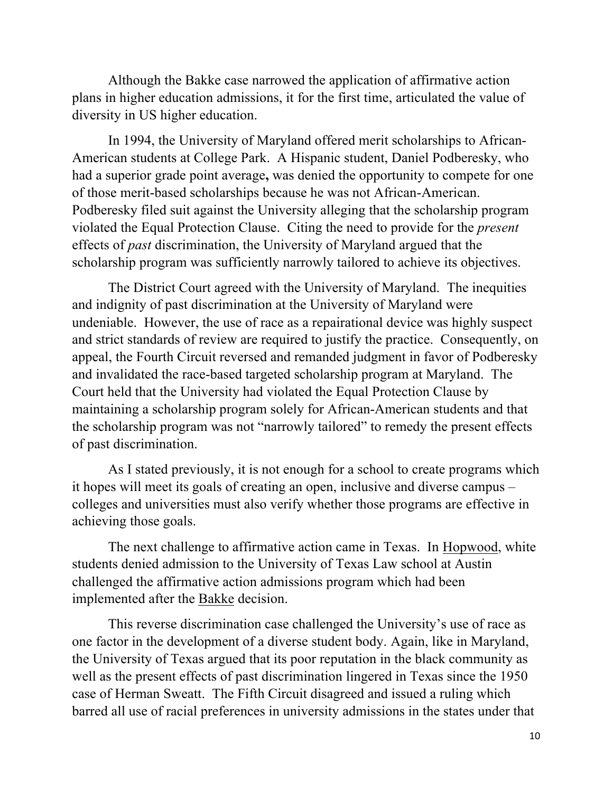Although the Bakke case narrowed the application of affirmative action plans in higher education admissions, it for the first time, articulated the value of diversity in US higher education.

In 1994, the University of Maryland offered merit scholarships to African-American students at College Park. A Hispanic student, Daniel Podberesky, who had a superior grade point average**,** was denied the opportunity to compete for one of those merit-based scholarships because he was not African-American. Podberesky filed suit against the University alleging that the scholarship program violated the Equal Protection Clause. Citing the need to provide for the *present* effects of *past* discrimination, the University of Maryland argued that the scholarship program was sufficiently narrowly tailored to achieve its objectives.

The District Court agreed with the University of Maryland. The inequities and indignity of past discrimination at the University of Maryland were undeniable. However, the use of race as a repairational device was highly suspect and strict standards of review are required to justify the practice. Consequently, on appeal, the Fourth Circuit reversed and remanded judgment in favor of Podberesky and invalidated the race-based targeted scholarship program at Maryland. The Court held that the University had violated the Equal Protection Clause by maintaining a scholarship program solely for African-American students and that the scholarship program was not "narrowly tailored" to remedy the present effects of past discrimination.

As I stated previously, it is not enough for a school to create programs which it hopes will meet its goals of creating an open, inclusive and diverse campus – colleges and universities must also verify whether those programs are effective in achieving those goals.

The next challenge to affirmative action came in Texas. In Hopwood, white students denied admission to the University of Texas Law school at Austin challenged the affirmative action admissions program which had been implemented after the Bakke decision.

This reverse discrimination case challenged the University's use of race as one factor in the development of a diverse student body. Again, like in Maryland, the University of Texas argued that its poor reputation in the black community as well as the present effects of past discrimination lingered in Texas since the 1950 case of Herman Sweatt. The Fifth Circuit disagreed and issued a ruling which barred all use of racial preferences in university admissions in the states under that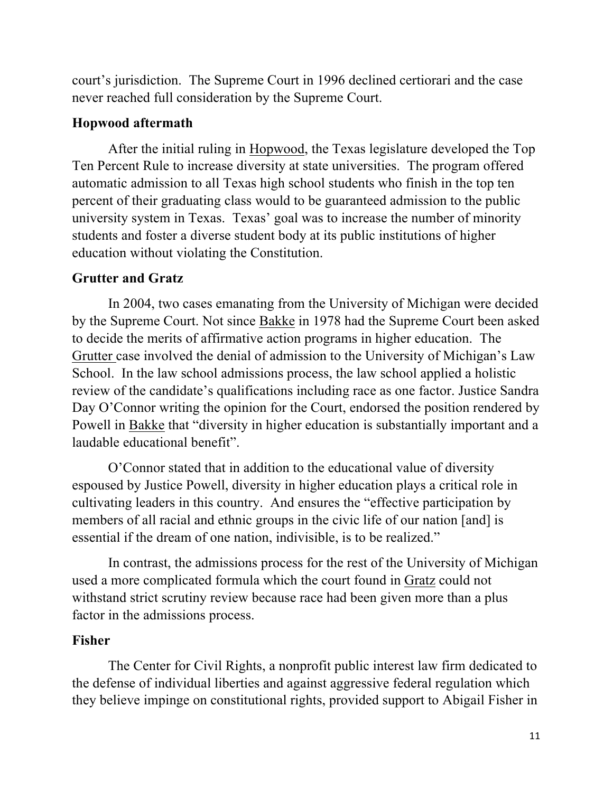court's jurisdiction. The Supreme Court in 1996 declined certiorari and the case never reached full consideration by the Supreme Court.

# **Hopwood aftermath**

After the initial ruling in Hopwood, the Texas legislature developed the Top Ten Percent Rule to increase diversity at state universities. The program offered automatic admission to all Texas high school students who finish in the top ten percent of their graduating class would to be guaranteed admission to the public university system in Texas. Texas' goal was to increase the number of minority students and foster a diverse student body at its public institutions of higher education without violating the Constitution.

# **Grutter and Gratz**

In 2004, two cases emanating from the University of Michigan were decided by the Supreme Court. Not since Bakke in 1978 had the Supreme Court been asked to decide the merits of affirmative action programs in higher education. The Grutter case involved the denial of admission to the University of Michigan's Law School. In the law school admissions process, the law school applied a holistic review of the candidate's qualifications including race as one factor. Justice Sandra Day O'Connor writing the opinion for the Court, endorsed the position rendered by Powell in Bakke that "diversity in higher education is substantially important and a laudable educational benefit".

O'Connor stated that in addition to the educational value of diversity espoused by Justice Powell, diversity in higher education plays a critical role in cultivating leaders in this country. And ensures the "effective participation by members of all racial and ethnic groups in the civic life of our nation [and] is essential if the dream of one nation, indivisible, is to be realized."

In contrast, the admissions process for the rest of the University of Michigan used a more complicated formula which the court found in Gratz could not withstand strict scrutiny review because race had been given more than a plus factor in the admissions process.

# **Fisher**

The Center for Civil Rights, a nonprofit public interest law firm dedicated to the defense of individual liberties and against aggressive federal regulation which they believe impinge on constitutional rights, provided support to Abigail Fisher in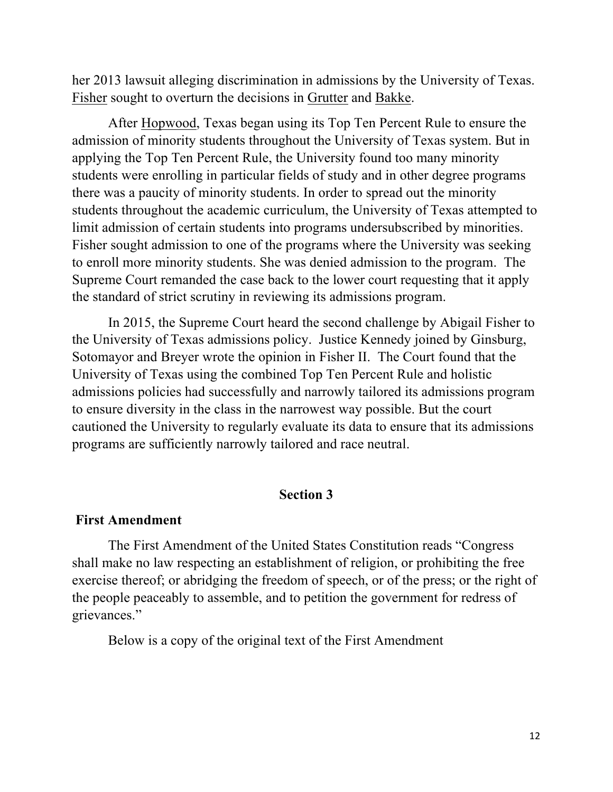her 2013 lawsuit alleging discrimination in admissions by the University of Texas. Fisher sought to overturn the decisions in Grutter and Bakke.

After Hopwood, Texas began using its Top Ten Percent Rule to ensure the admission of minority students throughout the University of Texas system. But in applying the Top Ten Percent Rule, the University found too many minority students were enrolling in particular fields of study and in other degree programs there was a paucity of minority students. In order to spread out the minority students throughout the academic curriculum, the University of Texas attempted to limit admission of certain students into programs undersubscribed by minorities. Fisher sought admission to one of the programs where the University was seeking to enroll more minority students. She was denied admission to the program. The Supreme Court remanded the case back to the lower court requesting that it apply the standard of strict scrutiny in reviewing its admissions program.

In 2015, the Supreme Court heard the second challenge by Abigail Fisher to the University of Texas admissions policy. Justice Kennedy joined by Ginsburg, Sotomayor and Breyer wrote the opinion in Fisher II. The Court found that the University of Texas using the combined Top Ten Percent Rule and holistic admissions policies had successfully and narrowly tailored its admissions program to ensure diversity in the class in the narrowest way possible. But the court cautioned the University to regularly evaluate its data to ensure that its admissions programs are sufficiently narrowly tailored and race neutral.

#### **Section 3**

#### **First Amendment**

The First Amendment of the United States Constitution reads "Congress shall make no law respecting an establishment of religion, or prohibiting the free exercise thereof; or abridging the freedom of speech, or of the press; or the right of the people peaceably to assemble, and to petition the government for redress of grievances."

Below is a copy of the original text of the First Amendment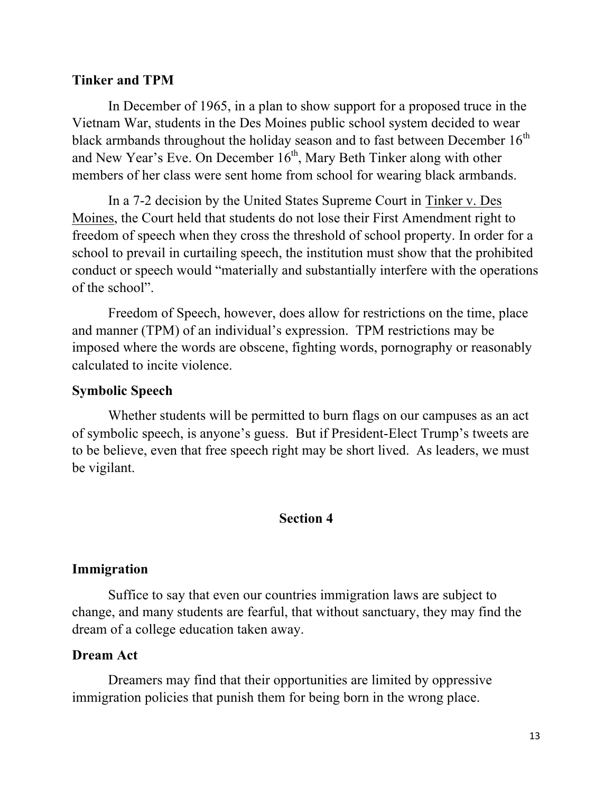### **Tinker and TPM**

In December of 1965, in a plan to show support for a proposed truce in the Vietnam War, students in the Des Moines public school system decided to wear black armbands throughout the holiday season and to fast between December  $16<sup>th</sup>$ and New Year's Eve. On December 16<sup>th</sup>, Mary Beth Tinker along with other members of her class were sent home from school for wearing black armbands.

In a 7-2 decision by the United States Supreme Court in Tinker v. Des Moines, the Court held that students do not lose their First Amendment right to freedom of speech when they cross the threshold of school property. In order for a school to prevail in curtailing speech, the institution must show that the prohibited conduct or speech would "materially and substantially interfere with the operations of the school".

Freedom of Speech, however, does allow for restrictions on the time, place and manner (TPM) of an individual's expression. TPM restrictions may be imposed where the words are obscene, fighting words, pornography or reasonably calculated to incite violence.

# **Symbolic Speech**

Whether students will be permitted to burn flags on our campuses as an act of symbolic speech, is anyone's guess. But if President-Elect Trump's tweets are to be believe, even that free speech right may be short lived. As leaders, we must be vigilant.

### **Section 4**

### **Immigration**

Suffice to say that even our countries immigration laws are subject to change, and many students are fearful, that without sanctuary, they may find the dream of a college education taken away.

### **Dream Act**

Dreamers may find that their opportunities are limited by oppressive immigration policies that punish them for being born in the wrong place.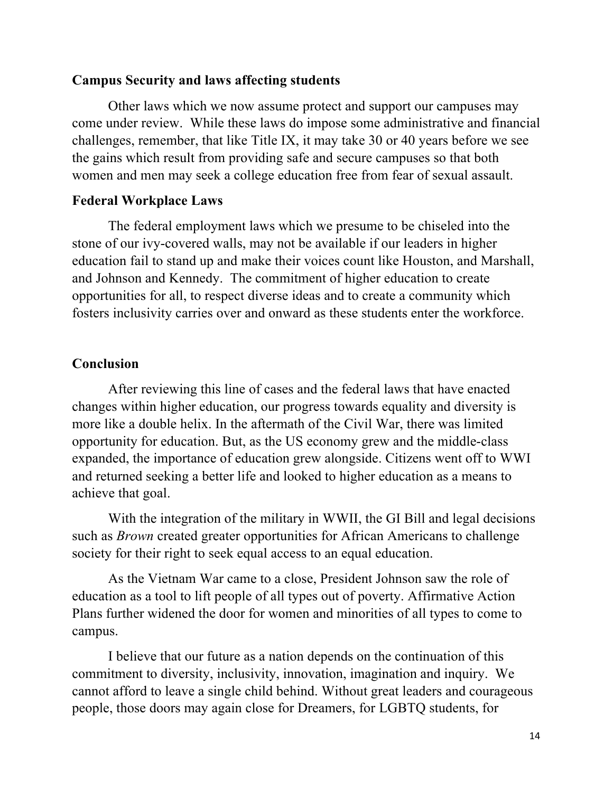#### **Campus Security and laws affecting students**

Other laws which we now assume protect and support our campuses may come under review. While these laws do impose some administrative and financial challenges, remember, that like Title IX, it may take 30 or 40 years before we see the gains which result from providing safe and secure campuses so that both women and men may seek a college education free from fear of sexual assault.

# **Federal Workplace Laws**

The federal employment laws which we presume to be chiseled into the stone of our ivy-covered walls, may not be available if our leaders in higher education fail to stand up and make their voices count like Houston, and Marshall, and Johnson and Kennedy. The commitment of higher education to create opportunities for all, to respect diverse ideas and to create a community which fosters inclusivity carries over and onward as these students enter the workforce.

### **Conclusion**

After reviewing this line of cases and the federal laws that have enacted changes within higher education, our progress towards equality and diversity is more like a double helix. In the aftermath of the Civil War, there was limited opportunity for education. But, as the US economy grew and the middle-class expanded, the importance of education grew alongside. Citizens went off to WWI and returned seeking a better life and looked to higher education as a means to achieve that goal.

With the integration of the military in WWII, the GI Bill and legal decisions such as *Brown* created greater opportunities for African Americans to challenge society for their right to seek equal access to an equal education.

As the Vietnam War came to a close, President Johnson saw the role of education as a tool to lift people of all types out of poverty. Affirmative Action Plans further widened the door for women and minorities of all types to come to campus.

I believe that our future as a nation depends on the continuation of this commitment to diversity, inclusivity, innovation, imagination and inquiry. We cannot afford to leave a single child behind. Without great leaders and courageous people, those doors may again close for Dreamers, for LGBTQ students, for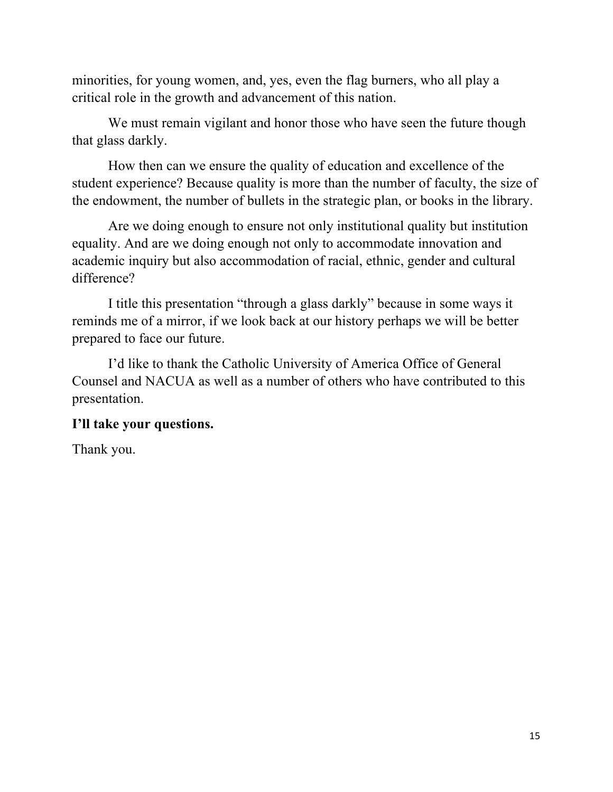minorities, for young women, and, yes, even the flag burners, who all play a critical role in the growth and advancement of this nation.

We must remain vigilant and honor those who have seen the future though that glass darkly.

How then can we ensure the quality of education and excellence of the student experience? Because quality is more than the number of faculty, the size of the endowment, the number of bullets in the strategic plan, or books in the library.

Are we doing enough to ensure not only institutional quality but institution equality. And are we doing enough not only to accommodate innovation and academic inquiry but also accommodation of racial, ethnic, gender and cultural difference?

I title this presentation "through a glass darkly" because in some ways it reminds me of a mirror, if we look back at our history perhaps we will be better prepared to face our future.

I'd like to thank the Catholic University of America Office of General Counsel and NACUA as well as a number of others who have contributed to this presentation.

# **I'll take your questions.**

Thank you.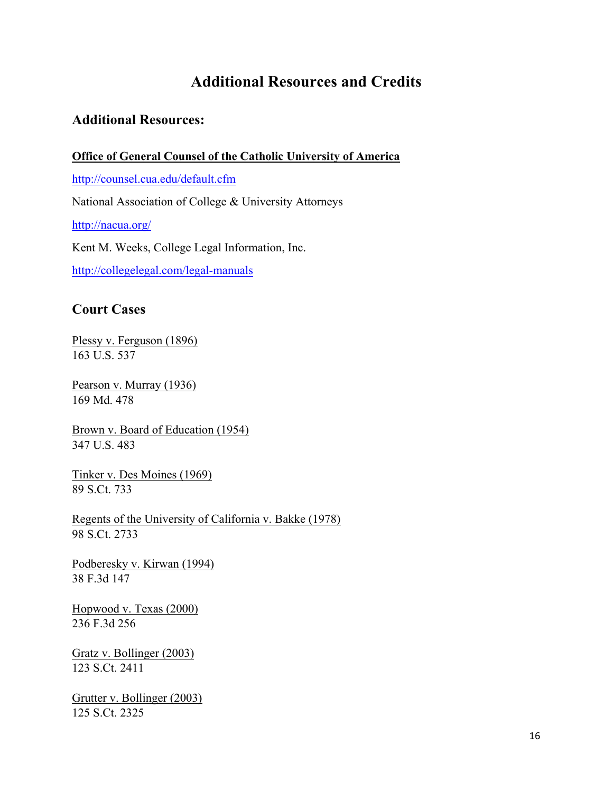# **Additional Resources and Credits**

### **Additional Resources:**

#### **Office of General Counsel of the Catholic University of America**

http://counsel.cua.edu/default.cfm

National Association of College & University Attorneys

http://nacua.org/

Kent M. Weeks, College Legal Information, Inc.

http://collegelegal.com/legal-manuals

# **Court Cases**

Plessy v. Ferguson (1896) 163 U.S. 537

Pearson v. Murray (1936) 169 Md. 478

Brown v. Board of Education (1954) 347 U.S. 483

Tinker v. Des Moines (1969) 89 S.Ct. 733

Regents of the University of California v. Bakke (1978) 98 S.Ct. 2733

Podberesky v. Kirwan (1994) 38 F.3d 147

Hopwood v. Texas (2000) 236 F.3d 256

Gratz v. Bollinger (2003) 123 S.Ct. 2411

Grutter v. Bollinger (2003) 125 S.Ct. 2325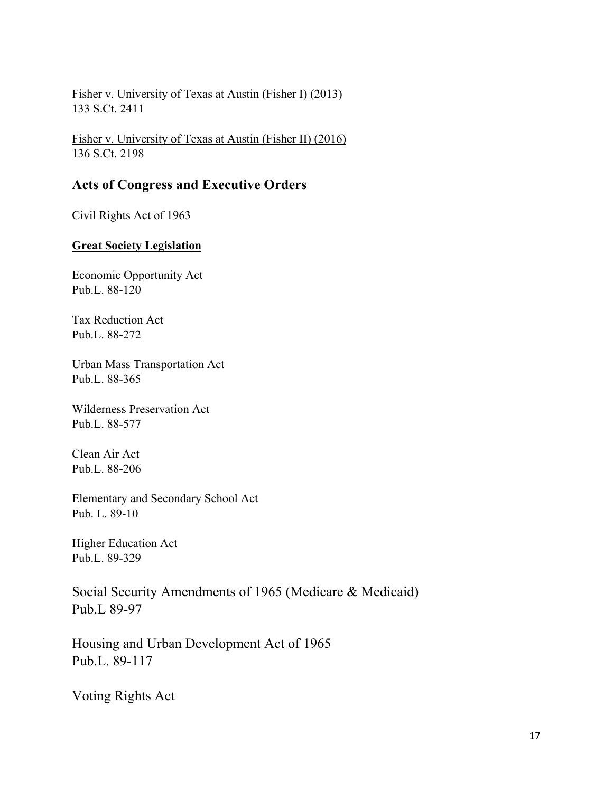Fisher v. University of Texas at Austin (Fisher I) (2013) 133 S.Ct. 2411

Fisher v. University of Texas at Austin (Fisher II) (2016) 136 S.Ct. 2198

### **Acts of Congress and Executive Orders**

Civil Rights Act of 1963

#### **Great Society Legislation**

Economic Opportunity Act Pub.L. 88-120

Tax Reduction Act Pub.L. 88-272

Urban Mass Transportation Act Pub.L. 88-365

Wilderness Preservation Act Pub.L. 88-577

Clean Air Act Pub.L. 88-206

Elementary and Secondary School Act Pub. L. 89-10

Higher Education Act Pub.L. 89-329

Social Security Amendments of 1965 (Medicare & Medicaid) Pub.L 89-97

Housing and Urban Development Act of 1965 Pub.L. 89-117

Voting Rights Act